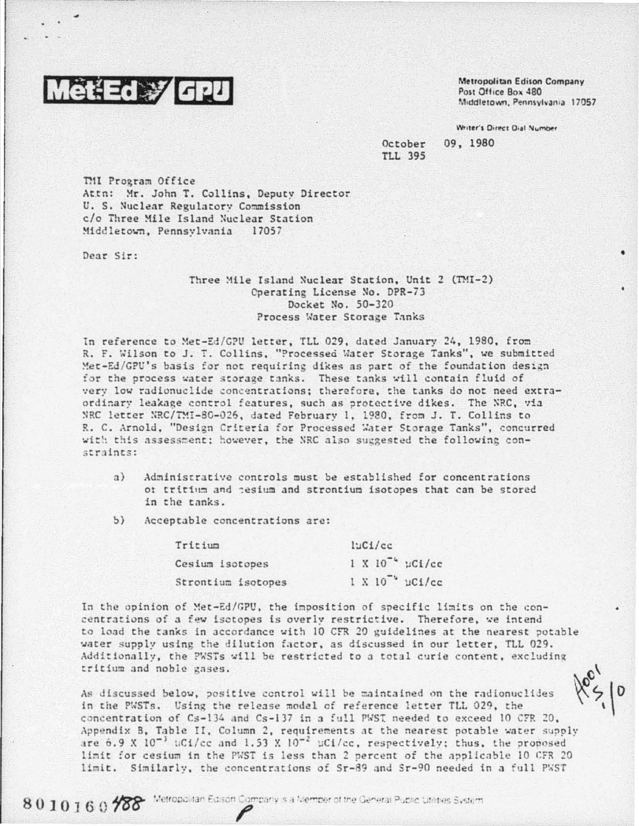

Metropolitan Edison Company Post Office Box 480 Middletown, Pennsylvania 17057

Writer's Direct Dial Number

October **TLL 395**  09, 1980

TMI Program Office Attn: Mr. John T. Collins, Deputy Director U. S. Nuclear Regulatory Commission c/o Three Mile Island Nuclear Station Middletown, Pennsylvania 17057

Dear Sir:

## Three Mile Island Nuclear Station, Unit 2 (TMI-2) Operating License No. DPR-73 Docket No. 50-320 Process Water Storage Tanks

In reference to Met-Ed/GPU letter, TLL 029, dated January 24, 1980, from R. F. Wilson to J. T. Collins, "Processed Water Storage Tanks", we submitted Met-Ed/GPU's basis for not requiring dikes as part of the foundation design for the process water storage tanks. These tanks will contain fluid of very low radionuclide concentrations; therefore, the tanks do not need extraordinary leakage control features, such as protective dikes. The NRC, via NRC letter NRC/TMI-80-026, dated February 1, 1980, from J. T. Collins to R. C. Arnold, "Design Criteria for Processed Water Storage Tanks", concurred with this assessment; however, the NRC also suggested the following constraints:

- Administrative controls must be established for concentrations  $a)$ or tritium and tesium and strontium isotopes that can be stored in the tanks.
- $5)$ Acceptable concentrations are:

| Tritium            | luC1/cc              |
|--------------------|----------------------|
| Cesium isotopes    | $1 X 10-4 \mu Ci/cc$ |
| Strontium isotopes | $1 X 10$ $\mu$ Ci/cc |

In the opinion of Met-Ed/GPU, the imposition of specific limits on the concentrations of a few isotopes is overly restrictive. Therefore, we intend to load the tanks in accordance with 10 CFR 20 guidelines at the nearest potable water supply using the dilution factor, as discussed in our letter, TLL 029. Additionally, the PWSTs will be restricted to a total curie content, excluding tritium and noble gases.

As discussed below, positive control will be maintained on the radionuclides in the PWSTs. Using the release model of reference letter TLL 029, the concentration of Cs-134 and Cs-137 in a full PWST needed to exceed 10 CFR 20, Appendix B, Table II, Column 2, requirements at the nearest potable water supply are 6.9 X  $10^{-3}$  uCi/cc and 1.53 X  $10^{-2}$  uCi/cc, respectively; thus, the proposed limit for cesium in the PWST is less than 2 percent of the applicable 10 CFR 20 limit. Similarly, the concentrations of Sr-89 and Sr-90 needed in a full PWST